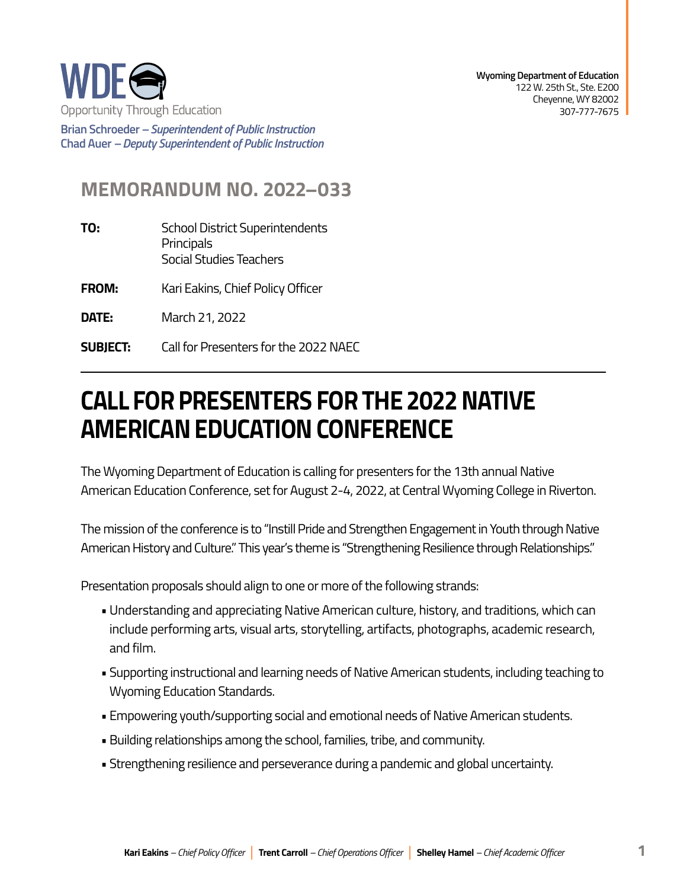

**Wyoming Department of Education**  122 W. 25th St., Ste. E200 Cheyenne, WY 82002 307-777-7675

**Brian Schroeder –***Superintendent of Public Instruction*  **Chad Auer** *– Deputy Superintendent of Public Instruction* 

## **MEMORANDUM NO. 2022–033**

**TO:** School District Superintendents **Principals** Social Studies Teachers

**FROM:** Kari Eakins, Chief Policy Officer

**DATE:** March 21, 2022

**SUBJECT: SUBJECT:** Call for Presenters for the 2022 NAEC

## **CALL FOR PRESENTERS FOR THE 2022 NATIVE AMERICAN EDUCATION CONFERENCE**

The Wyoming Department of Education is calling for presenters for the 13th annual Native American Education Conference, set for August 2-4, 2022, at Central Wyoming College in Riverton.

 The mission of the conference is to "Instill Pride and Strengthen Engagement in Youth through Native American History and Culture." This year's theme is "Strengthening Resilience through Relationships."

Presentation proposals should align to one or more of the following strands:

- • Understanding and appreciating Native American culture, history, and traditions, which can include performing arts, visual arts, storytelling, artifacts, photographs, academic research, and film.
- Supporting instructional and learning needs of Native American students, including teaching to Wyoming Education Standards.
- Empowering youth/supporting social and emotional needs of Native American students.
- Building relationships among the school, families, tribe, and community.
- Strengthening resilience and perseverance during a pandemic and global uncertainty.